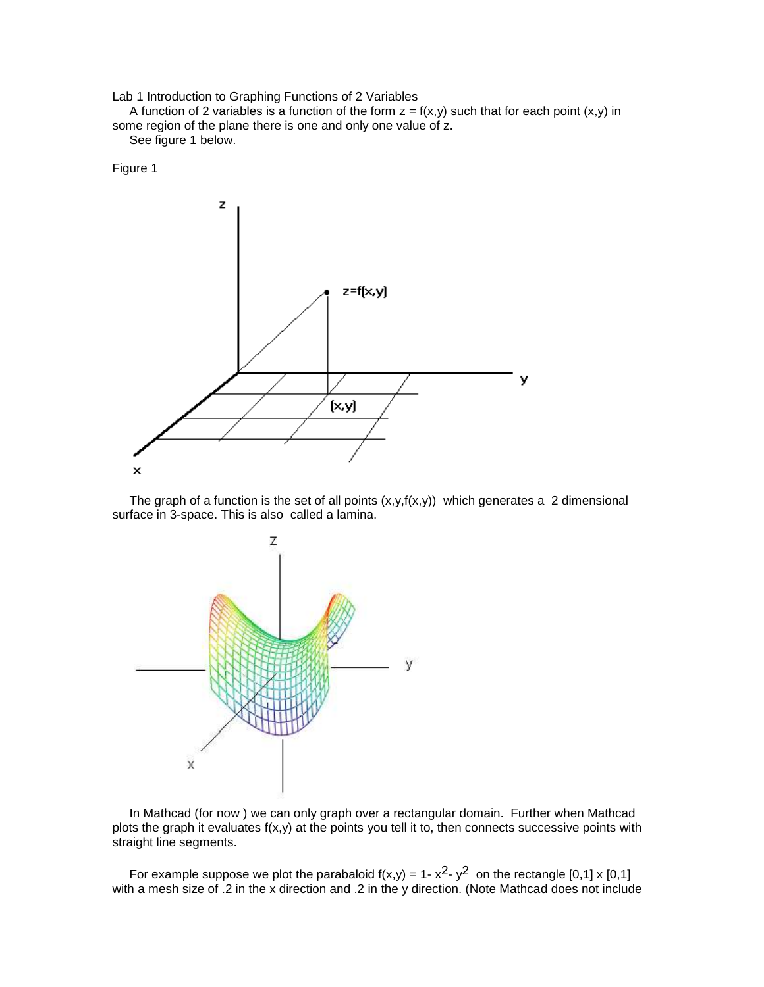Lab 1 Introduction to Graphing Functions of 2 Variables

A function of 2 variables is a function of the form  $z = f(x,y)$  such that for each point  $(x,y)$  in some region of the plane there is one and only one value of z.

See figure 1 below.

Figure 1



The graph of a function is the set of all points  $(x,y,f(x,y))$  which generates a 2 dimensional surface in 3-space. This is also called a lamina.



 In Mathcad (for now ) we can only graph over a rectangular domain. Further when Mathcad plots the graph it evaluates  $f(x,y)$  at the points you tell it to, then connects successive points with straight line segments.

For example suppose we plot the parabaloid  $f(x,y) = 1 - x^2 - y^2$  on the rectangle [0,1] x [0,1] with a mesh size of .2 in the x direction and .2 in the y direction. (Note Mathcad does not include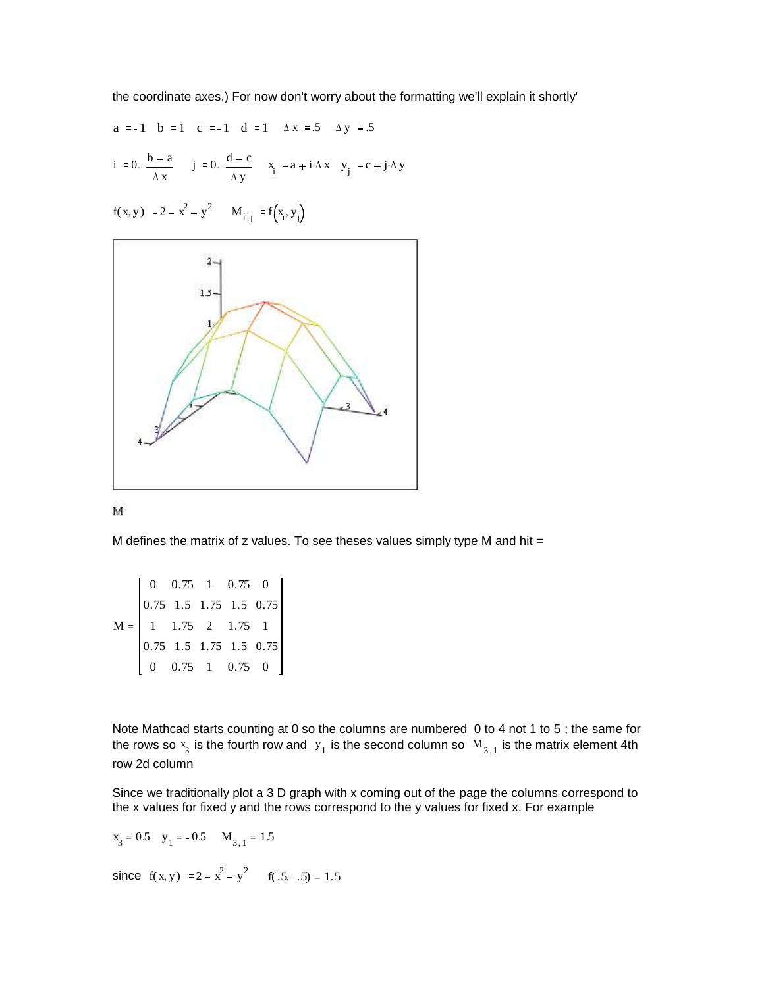the coordinate axes.) For now don't worry about the formatting we'll explain it shortly'

a := -1 b := 1 c := -1 d := 1 
$$
\Delta x
$$
 := .5  $\Delta y$  := .5  
i := 0.  $\frac{b-a}{\Delta x}$  j := 0.  $\frac{d-c}{\Delta y}$  x<sub>i</sub> := a + i $\Delta x$  y<sub>j</sub> := c + j $\Delta y$ 

 $f(x, y) := 2 - x^2 - y^2$   $M_{i,j} := f(x_i, y_j)$ 





M defines the matrix of  $z$  values. To see theses values simply type M and hit =

M 0 0.75 1 0.75 0 0.75 1 0.75 0 1.5 1.75 1.5 0.75 1.75 2 1.75 1 1.5 1.75 1.5 0.75 0.75 1 0.75 0  $=$ 

Note Mathcad starts counting at 0 so the columns are numbered 0 to 4 not 1 to 5 ; the same for the rows so  $x_3$  is the fourth row and  $y_1$  is the second column so  $M_{3,1}$  is the matrix element 4th row 2d column

Since we traditionally plot a 3 D graph with x coming out of the page the columns correspond to the x values for fixed y and the rows correspond to the y values for fixed x. For example

$$
x_3 = 0.5
$$
  $y_1 = -0.5$   $M_{3,1} = 1.5$ 

since  $f(x, y) := 2 - x^2 - y^2$   $f(.5, -.5) = 1.5$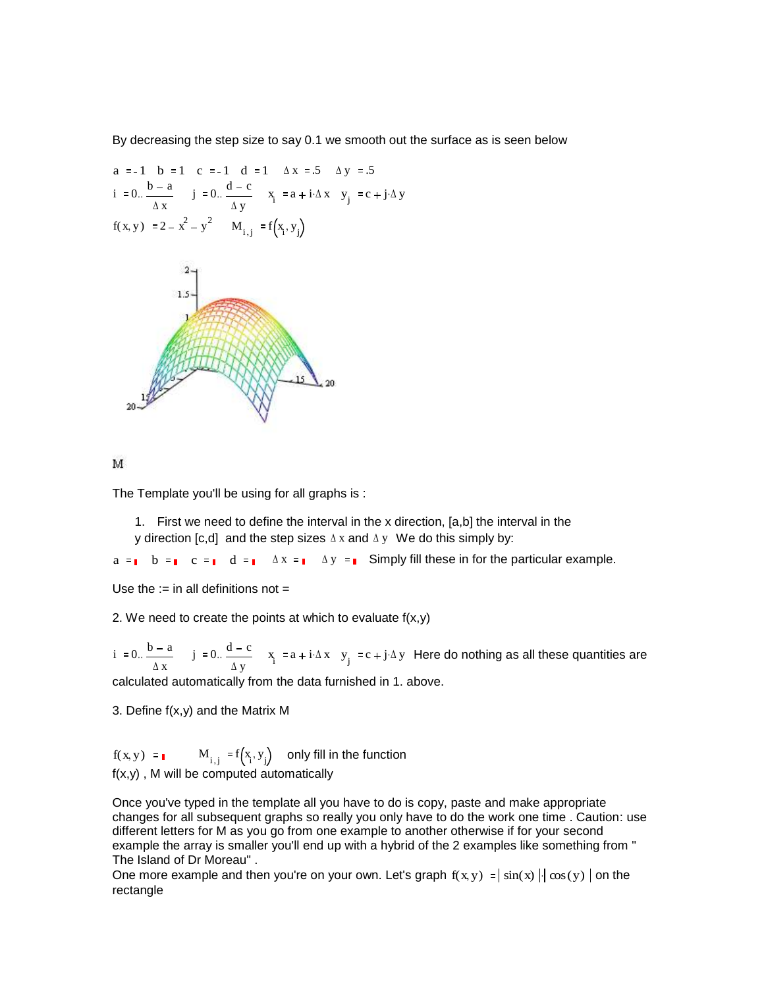By decreasing the step size to say 0.1 we smooth out the surface as is seen below

a := -1 b := 1 c := -1 d := 1 
$$
\Delta x
$$
 := .5  $\Delta y$  := .5  
i := 0.  $\frac{b-a}{\Delta x}$  j := 0.  $\frac{d-c}{\Delta y}$  x<sub>i</sub> := a + i $\Delta x$  y<sub>j</sub> := c + j $\Delta y$   
f(x, y) := 2 - x<sup>2</sup> - y<sup>2</sup> M<sub>i,j</sub> := f(x<sub>i</sub>, y<sub>j</sub>)





The Template you'll be using for all graphs is :

1. First we need to define the interval in the x direction, [a,b] the interval in the y direction [c,d] and the step sizes  $\Delta x$  and  $\Delta y$  We do this simply by:

 $a = \bullet$  b =  $\bullet$  c =  $\bullet$  d =  $\bullet$  Ax =  $\bullet$  Ay =  $\bullet$  Simply fill these in for the particular example.

Use the  $:=$  in all definitions not  $=$ 

2. We need to create the points at which to evaluate  $f(x,y)$ 

 $i := 0.$   $\frac{b - a}{a}$  $\Delta$  x  $\frac{b-a}{j} = 0.$   $\frac{d-c}{j}$  $\Delta y$  $\frac{a-c}{\sqrt{a-c}}$   $x_i := a + i \Delta x$   $y_j := c + j \Delta y$  Here do nothing as all these quantities are

calculated automatically from the data furnished in 1. above.

3. Define f(x,y) and the Matrix M

 $f(x, y) :=$   $M_{i,j} := f(x_i, y_j)$  only fill in the function f(x,y) , M will be computed automatically

Once you've typed in the template all you have to do is copy, paste and make appropriate changes for all subsequent graphs so really you only have to do the work one time . Caution: use different letters for M as you go from one example to another otherwise if for your second example the array is smaller you'll end up with a hybrid of the 2 examples like something from " The Island of Dr Moreau" .

One more example and then you're on your own. Let's graph  $f(x, y) = |\sin(x)| |\cos(y)|$  on the rectangle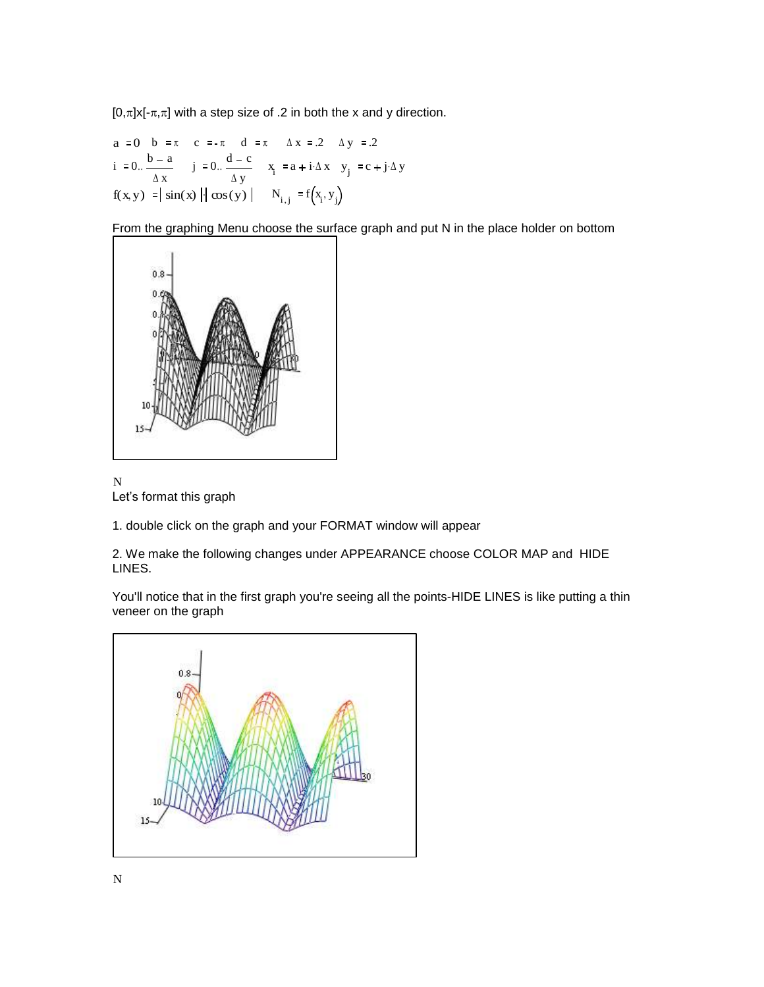$[0,\pi]$ x[- $\pi,\pi$ ] with a step size of .2 in both the x and y direction.

a := 0 b := 
$$
\pi
$$
 c :=  $-\pi$  d :=  $\pi$   $\Delta x$  := .2  $\Delta y$  := .2  
i := 0.  $\frac{b - a}{\Delta x}$  j := 0.  $\frac{d - c}{\Delta y}$  x<sub>i</sub> := a + i $\Delta x$  y<sub>j</sub> := c + j $\Delta y$   
f(x, y) :=  $|\sin(x) | |\cos(y)|$  N<sub>i,j</sub> := f(x<sub>i</sub>, y<sub>j</sub>)

From the graphing Menu choose the surface graph and put N in the place holder on bottom



N Let's format this graph

1. double click on the graph and your FORMAT window will appear

2. We make the following changes under APPEARANCE choose COLOR MAP and HIDE LINES.

You'll notice that in the first graph you're seeing all the points-HIDE LINES is like putting a thin veneer on the graph

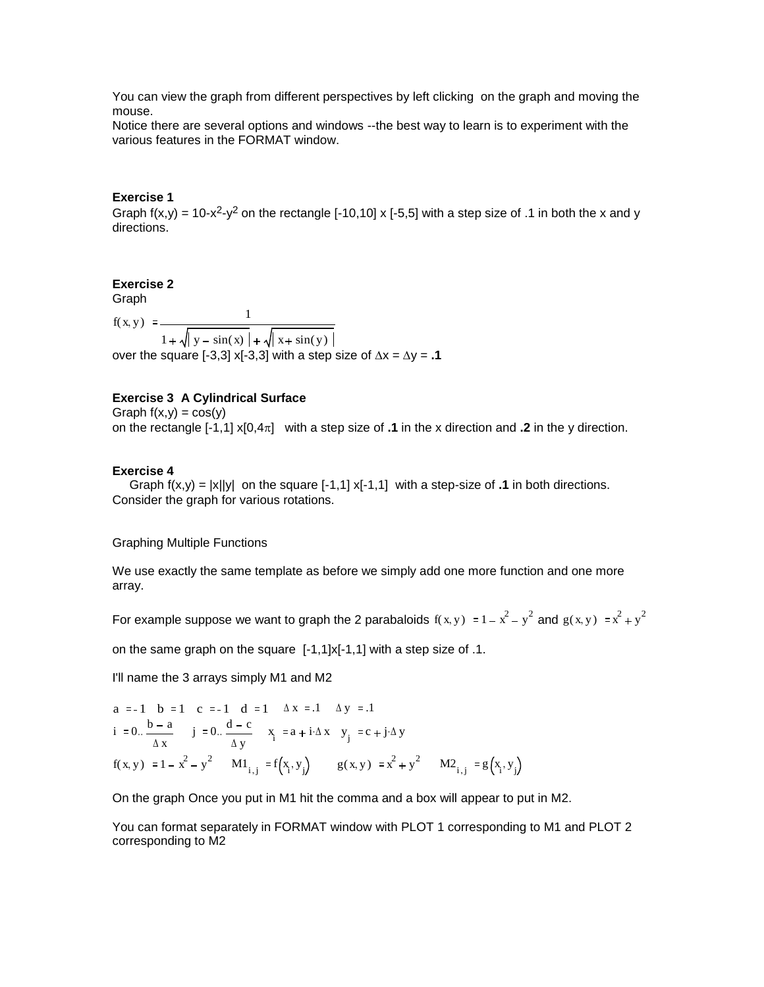You can view the graph from different perspectives by left clicking on the graph and moving the mouse.

Notice there are several options and windows --the best way to learn is to experiment with the various features in the FORMAT window.

## **Exercise 1**

Graph  $f(x,y) = 10-x^2-y^2$  on the rectangle [-10,10] x [-5,5] with a step size of .1 in both the x and y directions.

## **Exercise 2**

Graph f(x y) 1  $1 + \sqrt{y} - \sin(x) + \sqrt{x} + \sin(y)$ over the square [-3,3] x[-3,3] with a step size of  $\Delta x = \Delta y = .1$ 

## **Exercise 3 A Cylindrical Surface**

Graph  $f(x,y) = cos(y)$ 

on the rectangle  $[-1,1] \times [0,4\pi]$  with a step size of **.1** in the x direction and **.2** in the y direction.

## **Exercise 4**

Graph  $f(x,y) = |x||y|$  on the square  $[-1,1]$  x $[-1,1]$  with a step-size of **1** in both directions. Consider the graph for various rotations.

Graphing Multiple Functions

We use exactly the same template as before we simply add one more function and one more array.

For example suppose we want to graph the 2 parabaloids  $f(x, y) := 1 - x^2 - y^2$  and  $g(x, y) := x^2 + y^2$ 

on the same graph on the square [-1,1]x[-1,1] with a step size of .1.

I'll name the 3 arrays simply M1 and M2

a := -1 b := 1 c := -1 d := 1 
$$
\Delta x
$$
 := .1  $\Delta y$  := .1  
i := 0..  $\frac{b-a}{\Delta x}$  j := 0..  $\frac{d-c}{\Delta y}$  x<sub>i</sub> := a + i $\Delta x$  y<sub>j</sub> := c + j $\Delta y$   
f(x, y) := 1 - x<sup>2</sup> - y<sup>2</sup> M1<sub>i,j</sub> := f(x<sub>i</sub>, y<sub>j</sub>) g(x, y) := x<sup>2</sup> + y<sup>2</sup> M2<sub>i,j</sub> := g(x<sub>i</sub>, y<sub>j</sub>)

On the graph Once you put in M1 hit the comma and a box will appear to put in M2.

You can format separately in FORMAT window with PLOT 1 corresponding to M1 and PLOT 2 corresponding to M2